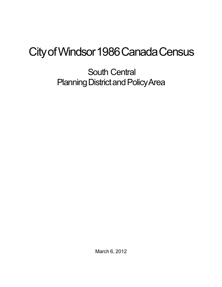## City of Windsor 1986 Canada Census

South Central Planning District and Policy Area

March 6, 2012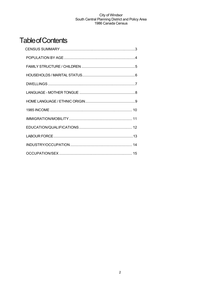## **Table of Contents**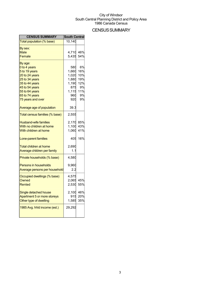## **CENSUS SUMMARY**

| Total population (% base)<br>10,140<br>By sex:<br>46%<br><b>Male</b><br>4,710<br>5,435<br>54%<br>Female<br>By age:<br>0 to 4 years<br>6%<br>580<br>16%<br>5 to 19 years<br>1,660<br>1,020<br>10%<br>20 to 24 years<br>1,880<br>19%<br>25 to 34 years<br>35 to 44 years<br>1,190<br>12%<br>45 to 54 years<br>875<br>9%<br>55 to 64 years<br>1,115<br>11%<br>9%<br>65 to 74 years<br>960<br>9%<br>75 years and over<br>920<br>39.3<br>Average age of population |
|---------------------------------------------------------------------------------------------------------------------------------------------------------------------------------------------------------------------------------------------------------------------------------------------------------------------------------------------------------------------------------------------------------------------------------------------------------------|
|                                                                                                                                                                                                                                                                                                                                                                                                                                                               |
|                                                                                                                                                                                                                                                                                                                                                                                                                                                               |
|                                                                                                                                                                                                                                                                                                                                                                                                                                                               |
|                                                                                                                                                                                                                                                                                                                                                                                                                                                               |
|                                                                                                                                                                                                                                                                                                                                                                                                                                                               |
|                                                                                                                                                                                                                                                                                                                                                                                                                                                               |
|                                                                                                                                                                                                                                                                                                                                                                                                                                                               |
|                                                                                                                                                                                                                                                                                                                                                                                                                                                               |
|                                                                                                                                                                                                                                                                                                                                                                                                                                                               |
|                                                                                                                                                                                                                                                                                                                                                                                                                                                               |
|                                                                                                                                                                                                                                                                                                                                                                                                                                                               |
|                                                                                                                                                                                                                                                                                                                                                                                                                                                               |
|                                                                                                                                                                                                                                                                                                                                                                                                                                                               |
|                                                                                                                                                                                                                                                                                                                                                                                                                                                               |
|                                                                                                                                                                                                                                                                                                                                                                                                                                                               |
| Total census families (% base)<br>2,555                                                                                                                                                                                                                                                                                                                                                                                                                       |
| 2,170<br>85%<br><b>Husband-wife families</b>                                                                                                                                                                                                                                                                                                                                                                                                                  |
| 1,100<br>43%<br>With no children at home                                                                                                                                                                                                                                                                                                                                                                                                                      |
| 41%<br>With children at home<br>1,060                                                                                                                                                                                                                                                                                                                                                                                                                         |
| 16%<br>405<br>Lone-parent families                                                                                                                                                                                                                                                                                                                                                                                                                            |
| 2,690<br><b>Total children at home</b>                                                                                                                                                                                                                                                                                                                                                                                                                        |
| Average children per family<br>1.1                                                                                                                                                                                                                                                                                                                                                                                                                            |
| 4,580<br>Private households (% base)                                                                                                                                                                                                                                                                                                                                                                                                                          |
|                                                                                                                                                                                                                                                                                                                                                                                                                                                               |
| 9,960<br><b>Persons in households</b>                                                                                                                                                                                                                                                                                                                                                                                                                         |
| Average persons per household<br>2.2                                                                                                                                                                                                                                                                                                                                                                                                                          |
| Occupied dwellings (% base)<br>4,575                                                                                                                                                                                                                                                                                                                                                                                                                          |
| Owned<br>2,065<br>45%                                                                                                                                                                                                                                                                                                                                                                                                                                         |
| Rented<br>2,530<br>55%                                                                                                                                                                                                                                                                                                                                                                                                                                        |
| 46%<br>Single detached house<br>2,100                                                                                                                                                                                                                                                                                                                                                                                                                         |
| Apartment 5 or more storeys<br>915<br>20%                                                                                                                                                                                                                                                                                                                                                                                                                     |
| Other type of dwelling<br>1,585<br>35%                                                                                                                                                                                                                                                                                                                                                                                                                        |
| 29,292<br>1985 Avg. hhld income (est.)                                                                                                                                                                                                                                                                                                                                                                                                                        |
|                                                                                                                                                                                                                                                                                                                                                                                                                                                               |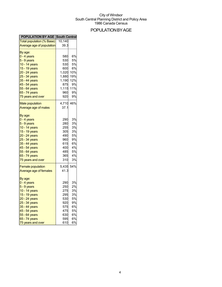## POPULATIONBYAGE

| <b>POPULATION BY AGE South Central</b> |           |           |
|----------------------------------------|-----------|-----------|
| Total population (% Base)              | 10,140    |           |
| Average age of population              | 39.3      |           |
|                                        |           |           |
| By age:                                |           | 6%        |
| 0 - 4 years                            | 580       |           |
| 5 - 9 years                            | 530       | 5%        |
| 10 - 14 years                          | 530       | 5%        |
| 15 - 19 years                          | 600       | 6%        |
| 20 - 24 years                          | 1,020     | 10%       |
| 25 - 34 years                          | 1,880     | 19%       |
| 35 - 44 years                          | 1,190     | 12%       |
| 45 - 54 years                          | 875       | 9%        |
| 55 - 64 years                          | 1,115     | 11%       |
| 65 - 74 years                          | 960       | 9%        |
| 75 years and over                      | 920       | 9%        |
| <b>Male population</b>                 | 4,710     | 46%       |
| Average age of males                   | 37.1      |           |
|                                        |           |           |
| By age:                                |           |           |
| 0 - 4 years                            | 290       | 3%        |
| $5 - 9$ years                          | 280       | 3%        |
| 10 - 14 years                          | 255       | 3%        |
| 15 - 19 years                          | 305       | 3%        |
| 20 - 24 years                          | 490       | 5%        |
| 25 - 34 years                          | 960       | 9%        |
| 35 - 44 years                          | 615       | 6%        |
| 45 - 54 years                          | 400       | 4%        |
| 55 - 64 years                          | 485       | 5%        |
| 65 - 74 years                          | 365       | 4%        |
| 75 years and over                      | 310       | 3%        |
|                                        |           |           |
| <b>Female population</b>               | 5,435 54% |           |
| Average age of females                 | 41.3      |           |
| By age:                                |           |           |
| $0 - 4$ years                          | 290       | 3%        |
| 5 - 9 years                            | 250       | 2%        |
|                                        | 275       | 3%        |
| 10 - 14 years                          |           |           |
| 15 - 19 years                          | 295       | 3%        |
| 20 - 24 years                          | 530       | 5%        |
| 25 - 34 years                          | 920       | 9%        |
| 35 - 44 years                          | 575       | 6%        |
| 45 - 54 years                          | 475       | <b>5%</b> |
| 55 - 64 years                          | 630       | 6%        |
| 65 - 74 years                          | 595       | 6%        |
| 75 years and over                      | 610       | 6%        |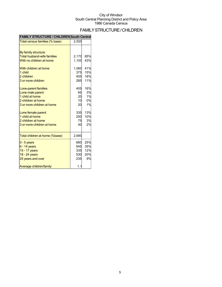## FAMILYSTRUCTURE/CHILDREN

| FAMILY STRUCTURE / CHILDREN SOUTH CENTRAL |       |     |
|-------------------------------------------|-------|-----|
| Total census families (% base)            | 2,555 |     |
|                                           |       |     |
| By family structure:                      |       |     |
| <b>Total husband-wife families</b>        | 2,170 | 85% |
| With no children at home                  | 1,100 | 43% |
| With children at home                     | 1,060 | 41% |
| 1 child                                   | 375   | 15% |
| 2 children                                | 405   | 16% |
| 3 or more children                        | 285   | 11% |
| Lone-parent families                      | 405   | 16% |
| Lone male parent                          | 65    | 3%  |
| 1 child at home                           | 20    | 1%  |
| 2 children at home                        | 10    | 0%  |
| 3 or more children at home                | 20    | 1%  |
| Lone female parent                        | 335   | 13% |
| 1 child at home                           | 250   | 10% |
| 2 children at home                        | 75    | 3%  |
| 3 or more children at home                | 40    | 2%  |
| Total children at home (%base)            | 2,690 |     |
| $0 - 5$ years                             | 660   | 25% |
| $6 - 14$ years                            | 945   | 35% |
| 15 - 17 years                             | 335   | 12% |
| 18 - 24 years                             | 530   | 20% |
| 25 years and over                         | 235   | 9%  |
| Average children/family                   | 1.1   |     |

### **FAMILY STRUCTURE / CHILDREN South Central**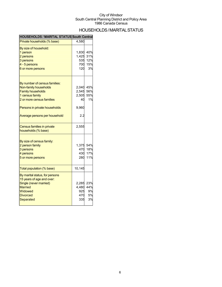## HOUSEHOLDS/MARITALSTATUS

| <b>HOUSEHOLDS / MARITAL STATUS South Central</b>            |        |     |
|-------------------------------------------------------------|--------|-----|
| Private households (% base)                                 | 4,580  |     |
| By size of household:                                       |        |     |
| 1 person                                                    | 1,830  | 40% |
| 2 persons                                                   | 1,425  | 31% |
| 3 persons                                                   | 535    | 12% |
| 4 - 5 persons                                               | 700    | 15% |
| 6 or more persons                                           | 120    | 3%  |
| By number of census families:                               |        |     |
| Non-family households                                       | 2,040  | 45% |
| <b>Family households</b>                                    | 2,545  | 56% |
| 1 census family                                             | 2,505  | 55% |
| 2 or more census families                                   | 40     | 1%  |
|                                                             |        |     |
| Persons in private households                               | 9,960  |     |
| Average persons per household                               | 2.2    |     |
| <b>Census families in private</b>                           | 2,555  |     |
| households (% base)                                         |        |     |
| By size of census family:                                   |        |     |
| 2 person family                                             | 1,375  | 54% |
| 3 persons                                                   | 470    | 18% |
| 4 persons                                                   | 430    | 17% |
| 5 or more persons                                           | 280    | 11% |
| Total population (% base)                                   | 10,145 |     |
|                                                             |        |     |
| By marital status, for persons<br>15 years of age and over: |        |     |
| Single (never married)                                      | 2,285  | 23% |
| <b>Married</b>                                              | 4,480  | 44% |
|                                                             |        | 9%  |
| Widowed                                                     | 925    |     |
| <b>Divorced</b>                                             | 470    | 5%  |
| Separated                                                   | 335    | 3%  |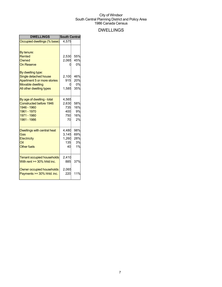## DWELLINGS

| <b>DWELLINGS</b>                                                                                                                                                                              | <b>South Central</b>                      |                                             |
|-----------------------------------------------------------------------------------------------------------------------------------------------------------------------------------------------|-------------------------------------------|---------------------------------------------|
| Occupied dwellings (% base)                                                                                                                                                                   | 4,575                                     |                                             |
| By tenure:<br><b>Rented</b><br>Owned<br><b>On Reserve</b><br>By dwelling type:<br>Single detached house<br>Apartment 5 or more stories<br><b>Movable dwelling</b><br>All other dwelling types | 2,530<br>2,065<br>2,100<br>915<br>1,585   | 55%<br>45%<br>0%<br>46%<br>20%<br>0%<br>35% |
| By age of dwelling - total<br><b>Constructed before 1946</b><br>1946 - 1960<br>1961 - 1970<br>1971 - 1980<br>1981 - 1986                                                                      | 4,565<br>2,630<br>735<br>400<br>750<br>70 | 58%<br>16%<br>9%<br>16%<br>2%               |
| <b>Dwellings with central heat</b><br>Gas<br>Electricity<br>Oil<br><b>Other fuels</b>                                                                                                         | 4,480<br>3,145<br>1,260<br>135<br>40      | 98%<br>69%<br>28%<br>3%<br>1%               |
| <b>Tenant occupied households</b><br>With rent $>=$ 30% hhld inc.<br>Owner occupied households<br>Payments $>=$ 30% hhld. inc.                                                                | 2,410<br>885<br>2,065<br>220              | 37%<br>11%                                  |
|                                                                                                                                                                                               |                                           |                                             |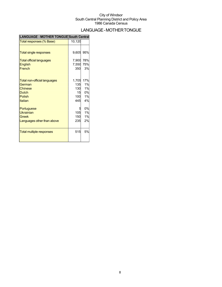## LANGUAGE-MOTHERTONGUE

| <b>LANGUAGE - MOTHER TONGUE South Central</b> |        |     |
|-----------------------------------------------|--------|-----|
| Total responses (% Base)                      | 10,120 |     |
|                                               |        |     |
| <b>Total single responses</b>                 | 9,605  | 95% |
| <b>Total official languages</b>               | 7,900  | 78% |
| <b>English</b>                                | 7,550  | 75% |
| French                                        | 350    | 3%  |
|                                               |        |     |
| Total non-official languages                  | 1,705  | 17% |
| German                                        | 135    | 1%  |
| <b>Chinese</b>                                | 130    | 1%  |
| <b>Dutch</b>                                  | 15     | 0%  |
| <b>Polish</b>                                 | 100    | 1%  |
| Italian                                       | 445    | 4%  |
| Portuguese                                    |        | 0%  |
| Ukrainian                                     | 105    | 1%  |
| Greek                                         | 150    | 1%  |
| Languages other than above                    | 235    | 2%  |
|                                               |        |     |
| <b>Total multiple responses</b>               | 515    | 5%  |
|                                               |        |     |
|                                               |        |     |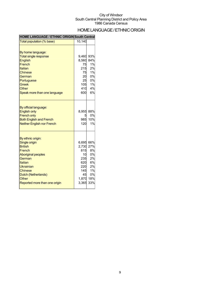## HOME LANGUAGE / ETHNIC ORIGIN

### **HOME LANGUAGE / ETHNIC ORIGIN South Central**

| Total population (% base)                                                                                                                                                                                               | 10,140                                                                          |                                                                    |
|-------------------------------------------------------------------------------------------------------------------------------------------------------------------------------------------------------------------------|---------------------------------------------------------------------------------|--------------------------------------------------------------------|
| By home language:<br><b>Total single response</b><br>English<br>French<br>Italian<br>Chinese<br>German<br>Portuguese<br><b>Greek</b><br>Other<br>Speak more than one language                                           | 9,460<br>8,560<br>75<br>215<br>75<br>20<br>25<br>105<br>410<br>600              | 93%<br>84%<br>1%<br>2%<br>1%<br>0%<br>0%<br>1%<br>4%<br>6%         |
| By official language:<br><b>English only</b><br><b>French only</b><br><b>Both English and French</b><br><b>Neither English nor French</b>                                                                               | 8,955<br>5<br>985<br>120                                                        | 88%<br>0%<br>10%<br>1%                                             |
| By ethnic origin:<br>Single origin<br><b>British</b><br>French<br><b>Aboriginal peoples</b><br>German<br><b>Italian</b><br>Ukrainian<br><b>Chinese</b><br>Dutch (Netherlands)<br>Other<br>Reported more than one origin | 6,695<br>2,730<br>815<br>10<br>235<br>620<br>220<br>145<br>45<br>1.870<br>3,365 | 66%<br>27%<br>8%<br>0%<br>2%<br>6%<br>2%<br>1%<br>0%<br>18%<br>33% |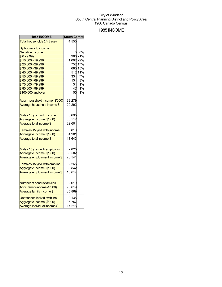## 1985INCOME

| 1985 INCOME                      | <b>South Central</b> |         |
|----------------------------------|----------------------|---------|
| Total households (% Base)        | 4,550                |         |
| By household income:             |                      |         |
| <b>Negative Income</b>           |                      | 0%      |
| $$0 - 9,999$                     |                      | 966 21% |
| \$10,000 - 19,999                | 1,002 22%            |         |
| \$20,000 - 29,999                |                      | 752 17% |
| \$30,000 - 39,999                |                      | 680 15% |
| \$40,000 - 49,999                |                      | 512 11% |
| \$50,000 - 59,999                | 334                  | 7%      |
| \$60,000 - 69,999                | 134                  | 3%      |
| \$70,000 - 79,999                | 31                   | 1%      |
| \$80,000 - 99,999                | 47                   | 1%      |
| \$100,000 and over               | 55                   | 1%      |
| Aggr. household income (\$'000)  | 133,279              |         |
| Average household income \$      | 29,292               |         |
|                                  |                      |         |
| Males 15 yrs+ with income        | 3,695                |         |
| Aggregate income (\$'000)        | 83,512               |         |
| Average total income \$          | 22,601               |         |
| Females 15 yrs+ with income      | 3,810                |         |
| Aggregate income (\$'000)        | 51,981               |         |
| Average total income \$          | 13,643               |         |
|                                  |                      |         |
| Males 15 yrs+ with employ.inc    | 2,825                |         |
| Aggregate income (\$'000)        | 66,502               |         |
| Average employment income \$     | 23,541               |         |
| Females 15 yrs+ with emp.inc.    | 2,265                |         |
| Aggregate income (\$'000)        | 30,842               |         |
| Average employment income \$     | 13,617               |         |
|                                  |                      |         |
| <b>Number of census families</b> | 2,610                |         |
| Aggr. family income (\$'000)     | 93,619               |         |
| Average family income \$         | 35,869               |         |
| Unattached individ. with inc.    | 2,135                |         |
| Aggregate income (\$'000)        | 36,757               |         |
| Average individual income \$     | 17,216               |         |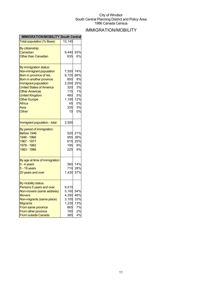## IMMIGRATION/MOBILITY

| <b>IMMIGRATION/MOBILITY South Central</b> |              |           |
|-------------------------------------------|--------------|-----------|
| <b>Total population (% Base)</b>          | 10,145       |           |
| By citizenship:                           |              |           |
| Canadian                                  | 9.440        | 93%       |
| <b>Other than Canadian</b>                | 635          | 6%        |
|                                           |              |           |
| By immigration status:                    |              |           |
| Non-immigrant population                  | 7,555        | 74%       |
| Born in province of res.                  | 6,720        | 66%       |
| Born in another province                  | 850          | 8%        |
| Immigrant population                      | 2,500        | 25%       |
| <b>United States of America</b>           | 320          | 3%        |
| <b>Other Americas</b>                     | 115          | 1%        |
| <b>United Kingdom</b>                     | 460          | 5%        |
| <b>Other Europe</b>                       | 1,195        | 12%       |
| Africa                                    | 45           | 0%        |
| Asia                                      | 335          | 3%        |
| Other                                     | 10           | 0%        |
|                                           |              |           |
| Immigrant population - total              | 2,500        |           |
| By period of immigration:                 |              |           |
| Before 1946                               | 520          | 21%       |
| 1946 - 1966                               | 955          | 38%       |
| 1967 - 1977                               | 615          | 25%       |
| 1978 - 1982                               | 195          | 8%        |
| 1983 - 1986                               | 225          | 9%        |
|                                           |              |           |
| By age at time of immigration:            |              |           |
| 0 - 4 years                               | 360          | 14%       |
| 5 - 19 years                              | 710          | 28%       |
| 20 years and over                         | 1,430        | 57%       |
|                                           |              |           |
| By mobility status:                       |              |           |
| Persons 5 years and over                  | 9,515        |           |
| Non-movers (same address)                 | 5,160        | 54%       |
| <b>Movers</b>                             | 4,350        | 46%       |
| Non-migrants (same place)                 | 3,105        | 33%       |
| <b>Migrants</b>                           | 1,235<br>665 | 13%<br>7% |
| From same province<br>From other province | 190          | 2%        |
| <b>From outside Canada</b>                | 385          | 4%        |
|                                           |              |           |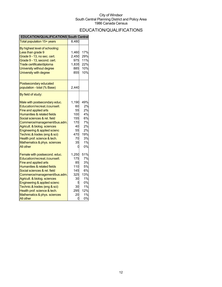## EDUCATION/QUALIFICATIONS

| EDUCATION/QUALIFICATIONS South Central                                                                                                                                                                                                                                                                                                                                    |                                                                            |                                                                         |
|---------------------------------------------------------------------------------------------------------------------------------------------------------------------------------------------------------------------------------------------------------------------------------------------------------------------------------------------------------------------------|----------------------------------------------------------------------------|-------------------------------------------------------------------------|
| Total population 15+ years                                                                                                                                                                                                                                                                                                                                                | 8,480                                                                      |                                                                         |
| By highest level of schooling:<br>Less than grade 9<br>Grade 9 - 13, no sec. cert.<br>Grade 9 - 13, second. cert.<br>Trade certificate/diploma<br>University without degree<br>University with degree                                                                                                                                                                     | 1,460<br>2,450<br>975<br>1,835<br>885<br>855                               | 17%<br>29%<br>11%<br>22%<br>10%<br>10%                                  |
| Postsecondary educated<br>population - total (% Base)                                                                                                                                                                                                                                                                                                                     | 2,440                                                                      |                                                                         |
| By field of study:                                                                                                                                                                                                                                                                                                                                                        |                                                                            |                                                                         |
| Male with postsecondary educ.<br>Education/recreat./counsell.<br><b>Fine and applied arts</b><br>Humanities & related fields<br>Social sciences & rel. field<br>Commerce/management/bus.adm.<br>Agricult. & biolog. sciences<br>Engineering & applied scienc<br>Technic.& trades (eng & sci)<br>Health prof. science & tech.<br>Mathematics & phys. sciences<br>All other | 1,190<br>60<br>55<br>100<br>155<br>170<br>40<br>55<br>470<br>70<br>35      | 49%<br>2%<br>2%<br>4%<br>6%<br>7%<br>2%<br>2%<br>19%<br>3%<br>1%<br>0%  |
| Female with postsecond. educ.<br>Education/recreat./counsell.<br>Fine and applied arts<br>Humanities & related fields<br>Social sciences & rel. field<br>Commerce/management/bus.adm.<br>Agricult. & biolog. sciences<br>Engineering & applied scienc<br>Technic.& trades (eng & sci)<br>Health prof. science & tech.<br>Mathematics & phys. sciences<br><b>All other</b> | 1,250<br>175<br>85<br>110<br>145<br>325<br>30<br>5<br>30<br>295<br>20<br>0 | 51%<br>7%<br>3%<br>5%<br>6%<br>13%<br>1%<br>0%<br>1%<br>12%<br>1%<br>0% |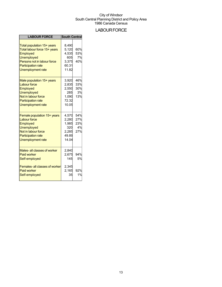## **LABOUR FORCE**

| <b>LABOUR FORCE</b>                                                                                                                                                                 | <b>South Central</b>                                      |                                |
|-------------------------------------------------------------------------------------------------------------------------------------------------------------------------------------|-----------------------------------------------------------|--------------------------------|
| Total population 15+ years<br>Total labour force 15+ years<br>Employed<br><b>Unemployed</b><br>Persons not in labour force<br><b>Participation rate</b><br><b>Unemployment rate</b> | 8.490<br>5,120<br>4,535<br>605<br>3,375<br>60.31<br>11.82 | 60%<br>53%<br>7%<br>40%        |
| Male population 15+ years<br><b>Labour force</b><br>Employed<br><b>Unemployed</b><br>Not in labour force<br><b>Participation rate</b><br>Unemployment rate                          | 3,920<br>2,835<br>2,550<br>285<br>1,090<br>72.32<br>10.05 | 46%<br>33%<br>30%<br>3%<br>13% |
| Female population 15+ years<br><b>Labour force</b><br>Employed<br><b>Unemployed</b><br>Not in labour force<br><b>Participation rate</b><br><b>Unemployment rate</b>                 | 4,570<br>2,280<br>1,985<br>320<br>2,285<br>49.89<br>14.04 | 54%<br>27%<br>23%<br>4%<br>27% |
| Males- all classes of worker<br><b>Paid worker</b><br>Self-employed                                                                                                                 | 2,840<br>2,675<br>145                                     | 94%<br>5%                      |
| <b>Females-all classes of worker</b><br><b>Paid worker</b><br>Self-employed                                                                                                         | 2,345<br>2,165<br>35                                      | 92%<br>1%                      |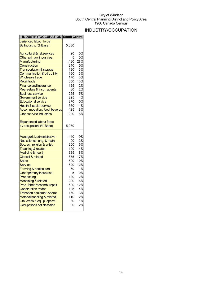## INDUSTRY/OCCUPATION

| <b>INDUSTRY/OCCUPATION South Central</b>                       |           |          |
|----------------------------------------------------------------|-----------|----------|
| perienced labour force                                         |           |          |
| By Industry: (% Base)                                          | 5,030     |          |
| <b>Agricultural &amp; rel.services</b>                         | 20        | 0%       |
| Other primary industries                                       |           | 0%       |
| Manufacturing                                                  | 1,430     | 28%      |
| <b>Construction</b>                                            | 240       | 5%       |
| <b>Transportation &amp; storage</b>                            | 130       | 3%       |
| Communication & oth. utility                                   | 160       | 3%       |
| <b>Wholesale trade</b>                                         | 170       | 3%       |
| <b>Retail trade</b>                                            | 650       | 13%      |
| <b>Finance and insurance</b>                                   | 125       | 2%       |
| Real estate & insur. agents                                    | 80        | 2%       |
| <b>Business service</b>                                        | 255       | 5%       |
| Government service                                             | 225       | 4%       |
| <b>Educational service</b>                                     | 270       | 5%       |
| <b>Health &amp; social service</b>                             | 560       | 11%      |
| Accommodation, food, beverag                                   | 425       | 8%       |
| Other service industries                                       | 290       | 6%       |
|                                                                |           |          |
| <b>Experienced labour force</b>                                |           |          |
| by occupation: (% Base)                                        | 5,030     |          |
|                                                                |           |          |
|                                                                |           |          |
|                                                                |           |          |
| Managerial, administrative                                     | 440<br>90 | 9%       |
| Nat. science, eng. & math.                                     | 300       | 2%       |
| Soc. sc., religion & artist.                                   | 190       | 6%<br>4% |
| <b>Teaching &amp; related</b><br><b>Medicine &amp; health</b>  | 385       | 8%       |
| <b>Clerical &amp; related</b>                                  | 855       | 17%      |
| Sales                                                          | 500       | 10%      |
| Service                                                        | 620       | 12%      |
|                                                                | 60        | 1%       |
| <b>Farming &amp; horticultural</b><br>Other primary industries | 5         | 0%       |
| Processing                                                     | 120       | 2%       |
| Machining & related                                            | 290       | 6%       |
| Prod. fabric./assemb./repair                                   | 620       | 12%      |
| <b>Construction trades</b>                                     | 195       | 4%       |
| Transport equipmnt. operat.                                    | 160       | 3%       |
| Material handling & related                                    | 110       | 2%       |
| Oth. crafts & equip. operat.                                   | 30        | 1%       |
| Occupations not classified                                     | 90        | 2%       |